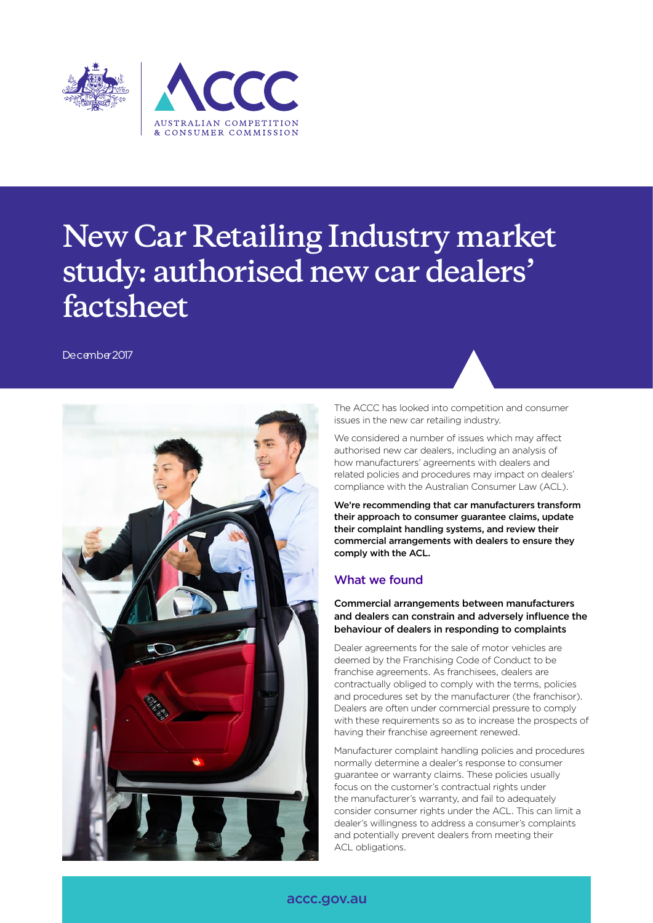

# **New Car Retailing Industry market study: authorised new car dealers' factsheet**

December 2017



The ACCC has looked into competition and consumer issues in the new car retailing industry.

We considered a number of issues which may affect authorised new car dealers, including an analysis of how manufacturers' agreements with dealers and related policies and procedures may impact on dealers' compliance with the Australian Consumer Law (ACL).

We're recommending that car manufacturers transform their approach to consumer guarantee claims, update their complaint handling systems, and review their commercial arrangements with dealers to ensure they comply with the ACL.

# What we found

#### Commercial arrangements between manufacturers and dealers can constrain and adversely influence the behaviour of dealers in responding to complaints

Dealer agreements for the sale of motor vehicles are deemed by the Franchising Code of Conduct to be franchise agreements. As franchisees, dealers are contractually obliged to comply with the terms, policies and procedures set by the manufacturer (the franchisor). Dealers are often under commercial pressure to comply with these requirements so as to increase the prospects of having their franchise agreement renewed.

Manufacturer complaint handling policies and procedures normally determine a dealer's response to consumer guarantee or warranty claims. These policies usually focus on the customer's contractual rights under the manufacturer's warranty, and fail to adequately consider consumer rights under the ACL. This can limit a dealer's willingness to address a consumer's complaints and potentially prevent dealers from meeting their ACL obligations.